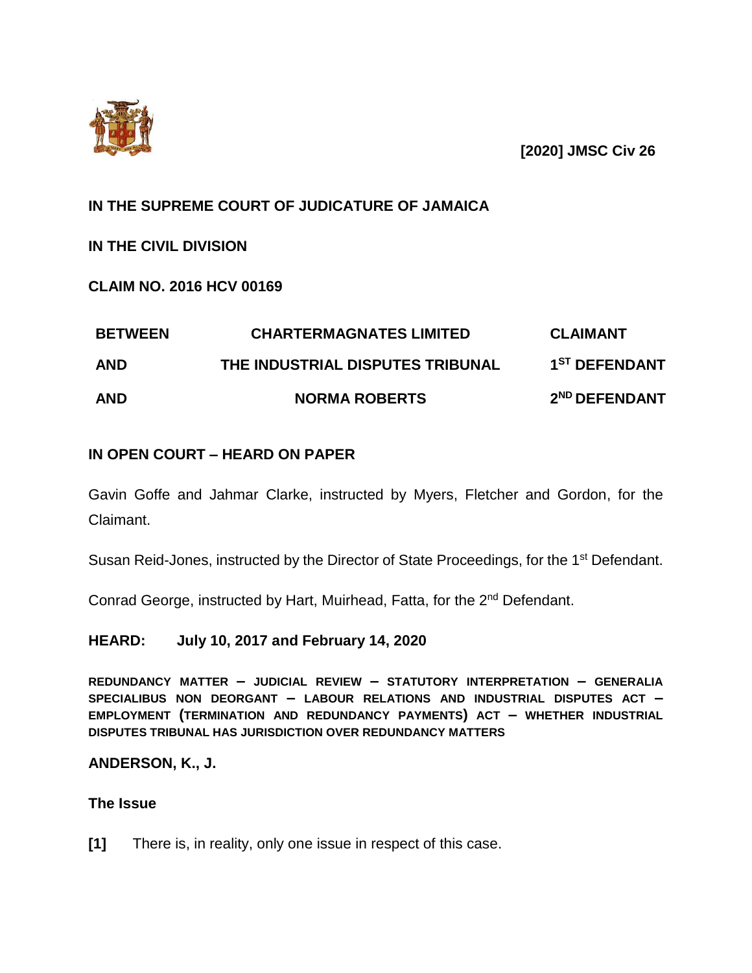

**[2020] JMSC Civ 26**

# **IN THE SUPREME COURT OF JUDICATURE OF JAMAICA**

# **IN THE CIVIL DIVISION**

**CLAIM NO. 2016 HCV 00169**

| <b>BETWEEN</b><br><b>AND</b> | <b>CHARTERMAGNATES LIMITED</b><br>THE INDUSTRIAL DISPUTES TRIBUNAL | <b>CLAIMANT</b><br>1 <sup>ST</sup> DEFENDANT |
|------------------------------|--------------------------------------------------------------------|----------------------------------------------|
|                              |                                                                    |                                              |

# **IN OPEN COURT – HEARD ON PAPER**

Gavin Goffe and Jahmar Clarke, instructed by Myers, Fletcher and Gordon, for the Claimant.

Susan Reid-Jones, instructed by the Director of State Proceedings, for the 1<sup>st</sup> Defendant.

Conrad George, instructed by Hart, Muirhead, Fatta, for the 2nd Defendant.

## **HEARD: July 10, 2017 and February 14, 2020**

**REDUNDANCY MATTER – JUDICIAL REVIEW – STATUTORY INTERPRETATION – GENERALIA SPECIALIBUS NON DEORGANT – LABOUR RELATIONS AND INDUSTRIAL DISPUTES ACT – EMPLOYMENT (TERMINATION AND REDUNDANCY PAYMENTS) ACT – WHETHER INDUSTRIAL DISPUTES TRIBUNAL HAS JURISDICTION OVER REDUNDANCY MATTERS**

## **ANDERSON, K., J.**

### **The Issue**

**[1]** There is, in reality, only one issue in respect of this case.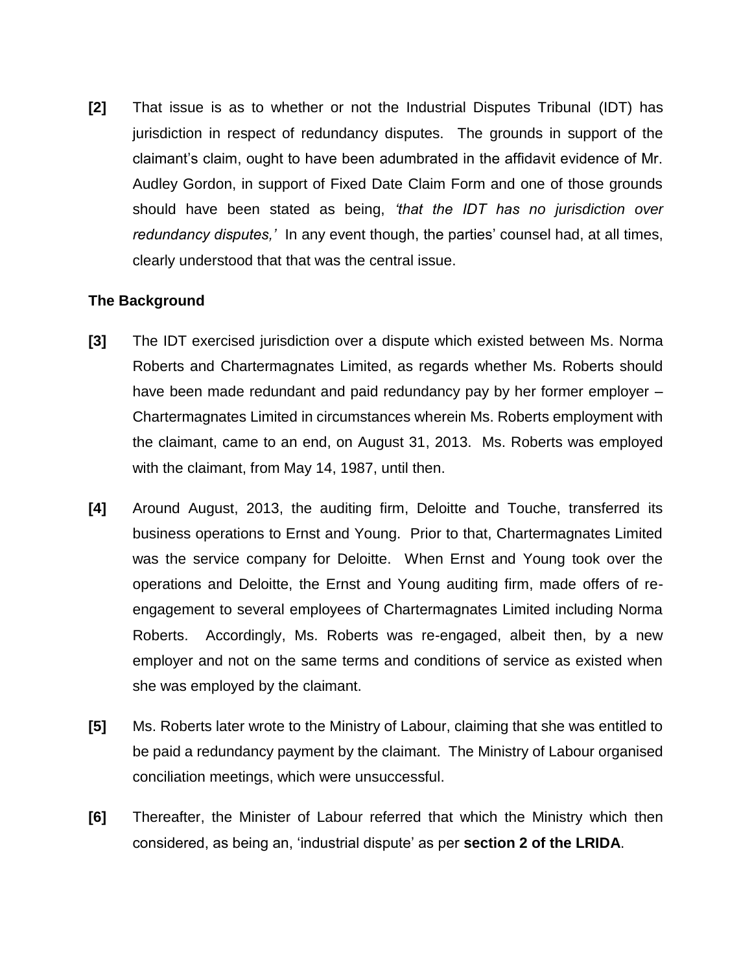**[2]** That issue is as to whether or not the Industrial Disputes Tribunal (IDT) has jurisdiction in respect of redundancy disputes. The grounds in support of the claimant's claim, ought to have been adumbrated in the affidavit evidence of Mr. Audley Gordon, in support of Fixed Date Claim Form and one of those grounds should have been stated as being, *'that the IDT has no jurisdiction over redundancy disputes,'* In any event though, the parties' counsel had, at all times, clearly understood that that was the central issue.

### **The Background**

- **[3]** The IDT exercised jurisdiction over a dispute which existed between Ms. Norma Roberts and Chartermagnates Limited, as regards whether Ms. Roberts should have been made redundant and paid redundancy pay by her former employer – Chartermagnates Limited in circumstances wherein Ms. Roberts employment with the claimant, came to an end, on August 31, 2013. Ms. Roberts was employed with the claimant, from May 14, 1987, until then.
- **[4]** Around August, 2013, the auditing firm, Deloitte and Touche, transferred its business operations to Ernst and Young. Prior to that, Chartermagnates Limited was the service company for Deloitte. When Ernst and Young took over the operations and Deloitte, the Ernst and Young auditing firm, made offers of reengagement to several employees of Chartermagnates Limited including Norma Roberts. Accordingly, Ms. Roberts was re-engaged, albeit then, by a new employer and not on the same terms and conditions of service as existed when she was employed by the claimant.
- **[5]** Ms. Roberts later wrote to the Ministry of Labour, claiming that she was entitled to be paid a redundancy payment by the claimant. The Ministry of Labour organised conciliation meetings, which were unsuccessful.
- **[6]** Thereafter, the Minister of Labour referred that which the Ministry which then considered, as being an, 'industrial dispute' as per **section 2 of the LRIDA**.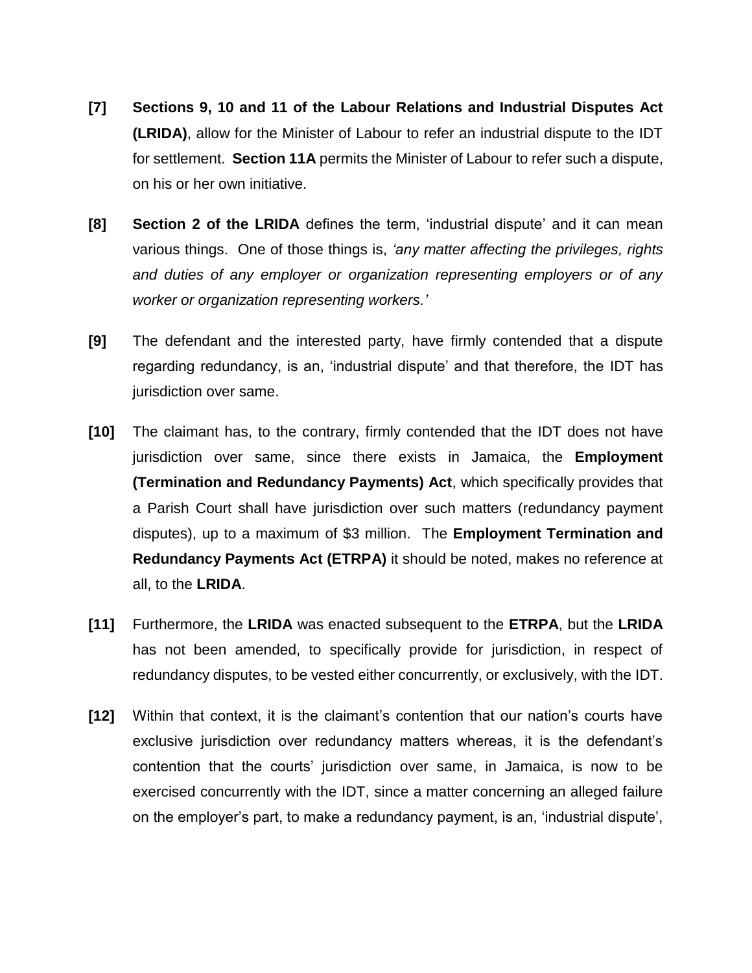- **[7] Sections 9, 10 and 11 of the Labour Relations and Industrial Disputes Act (LRIDA)**, allow for the Minister of Labour to refer an industrial dispute to the IDT for settlement. **Section 11A** permits the Minister of Labour to refer such a dispute, on his or her own initiative.
- **[8] Section 2 of the LRIDA** defines the term, 'industrial dispute' and it can mean various things. One of those things is, *'any matter affecting the privileges, rights and duties of any employer or organization representing employers or of any worker or organization representing workers.'*
- **[9]** The defendant and the interested party, have firmly contended that a dispute regarding redundancy, is an, 'industrial dispute' and that therefore, the IDT has jurisdiction over same.
- **[10]** The claimant has, to the contrary, firmly contended that the IDT does not have jurisdiction over same, since there exists in Jamaica, the **Employment (Termination and Redundancy Payments) Act**, which specifically provides that a Parish Court shall have jurisdiction over such matters (redundancy payment disputes), up to a maximum of \$3 million. The **Employment Termination and Redundancy Payments Act (ETRPA)** it should be noted, makes no reference at all, to the **LRIDA**.
- **[11]** Furthermore, the **LRIDA** was enacted subsequent to the **ETRPA**, but the **LRIDA** has not been amended, to specifically provide for jurisdiction, in respect of redundancy disputes, to be vested either concurrently, or exclusively, with the IDT.
- **[12]** Within that context, it is the claimant's contention that our nation's courts have exclusive jurisdiction over redundancy matters whereas, it is the defendant's contention that the courts' jurisdiction over same, in Jamaica, is now to be exercised concurrently with the IDT, since a matter concerning an alleged failure on the employer's part, to make a redundancy payment, is an, 'industrial dispute',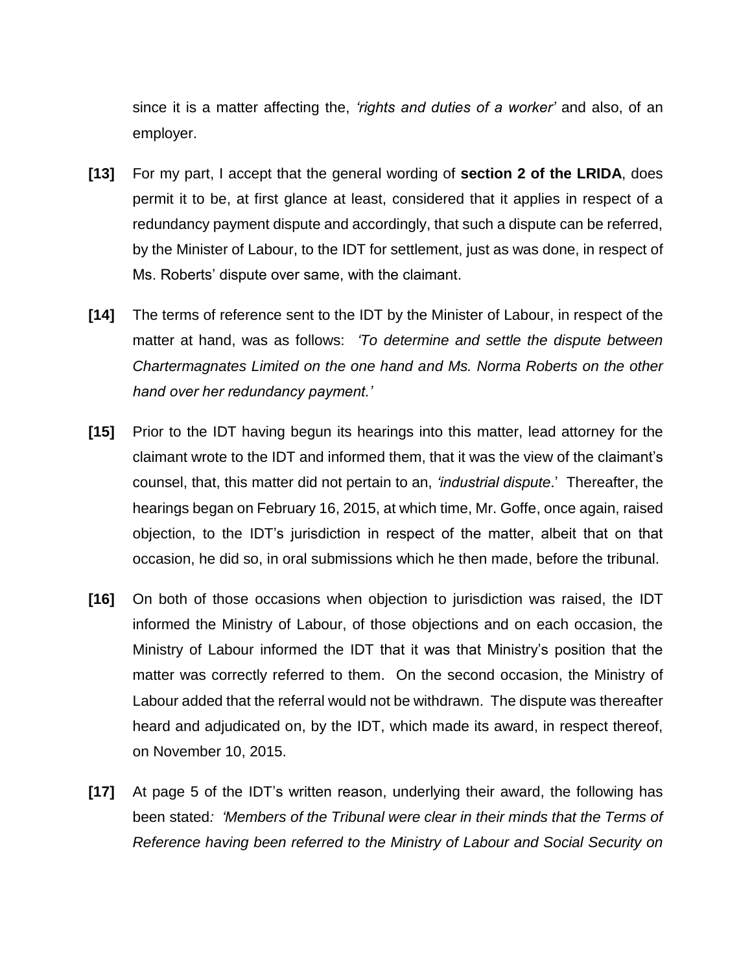since it is a matter affecting the, *'rights and duties of a worker'* and also, of an employer.

- **[13]** For my part, I accept that the general wording of **section 2 of the LRIDA**, does permit it to be, at first glance at least, considered that it applies in respect of a redundancy payment dispute and accordingly, that such a dispute can be referred, by the Minister of Labour, to the IDT for settlement, just as was done, in respect of Ms. Roberts' dispute over same, with the claimant.
- **[14]** The terms of reference sent to the IDT by the Minister of Labour, in respect of the matter at hand, was as follows: *'To determine and settle the dispute between Chartermagnates Limited on the one hand and Ms. Norma Roberts on the other hand over her redundancy payment.'*
- **[15]** Prior to the IDT having begun its hearings into this matter, lead attorney for the claimant wrote to the IDT and informed them, that it was the view of the claimant's counsel, that, this matter did not pertain to an, *'industrial dispute*.' Thereafter, the hearings began on February 16, 2015, at which time, Mr. Goffe, once again, raised objection, to the IDT's jurisdiction in respect of the matter, albeit that on that occasion, he did so, in oral submissions which he then made, before the tribunal.
- **[16]** On both of those occasions when objection to jurisdiction was raised, the IDT informed the Ministry of Labour, of those objections and on each occasion, the Ministry of Labour informed the IDT that it was that Ministry's position that the matter was correctly referred to them. On the second occasion, the Ministry of Labour added that the referral would not be withdrawn. The dispute was thereafter heard and adjudicated on, by the IDT, which made its award, in respect thereof, on November 10, 2015.
- **[17]** At page 5 of the IDT's written reason, underlying their award, the following has been stated*: 'Members of the Tribunal were clear in their minds that the Terms of Reference having been referred to the Ministry of Labour and Social Security on*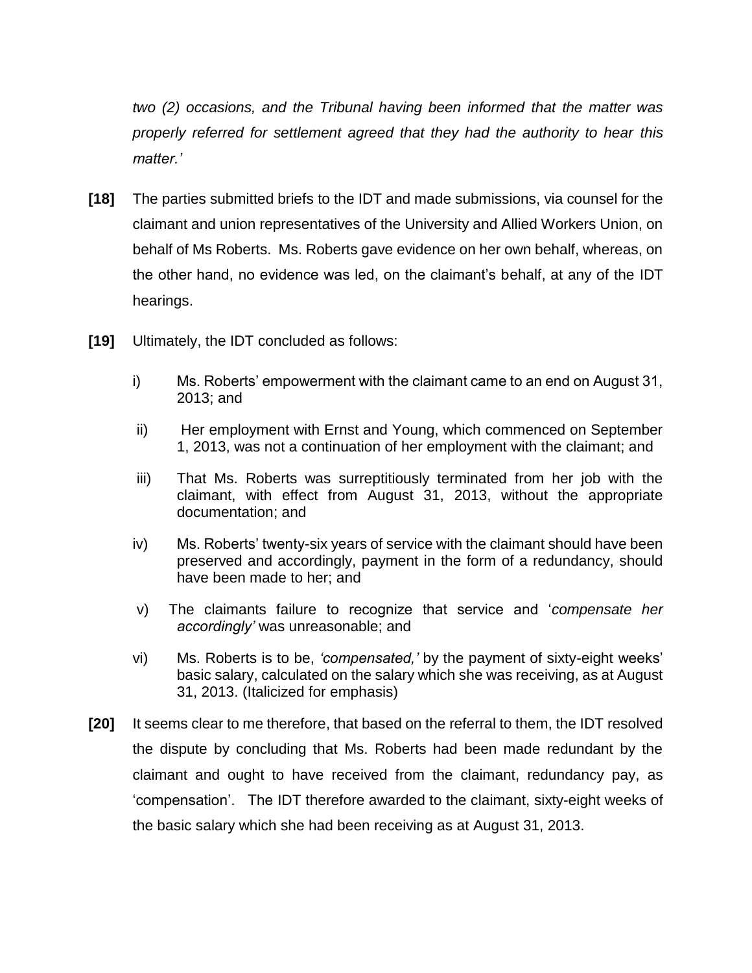*two (2) occasions, and the Tribunal having been informed that the matter was properly referred for settlement agreed that they had the authority to hear this matter.'*

- **[18]** The parties submitted briefs to the IDT and made submissions, via counsel for the claimant and union representatives of the University and Allied Workers Union, on behalf of Ms Roberts. Ms. Roberts gave evidence on her own behalf, whereas, on the other hand, no evidence was led, on the claimant's behalf, at any of the IDT hearings.
- **[19]** Ultimately, the IDT concluded as follows:
	- i) Ms. Roberts' empowerment with the claimant came to an end on August 31, 2013; and
	- ii) Her employment with Ernst and Young, which commenced on September 1, 2013, was not a continuation of her employment with the claimant; and
	- iii) That Ms. Roberts was surreptitiously terminated from her job with the claimant, with effect from August 31, 2013, without the appropriate documentation; and
	- iv) Ms. Roberts' twenty-six years of service with the claimant should have been preserved and accordingly, payment in the form of a redundancy, should have been made to her; and
	- v) The claimants failure to recognize that service and '*compensate her accordingly'* was unreasonable; and
	- vi) Ms. Roberts is to be, *'compensated,'* by the payment of sixty-eight weeks' basic salary, calculated on the salary which she was receiving, as at August 31, 2013. (Italicized for emphasis)
- **[20]** It seems clear to me therefore, that based on the referral to them, the IDT resolved the dispute by concluding that Ms. Roberts had been made redundant by the claimant and ought to have received from the claimant, redundancy pay, as 'compensation'. The IDT therefore awarded to the claimant, sixty-eight weeks of the basic salary which she had been receiving as at August 31, 2013.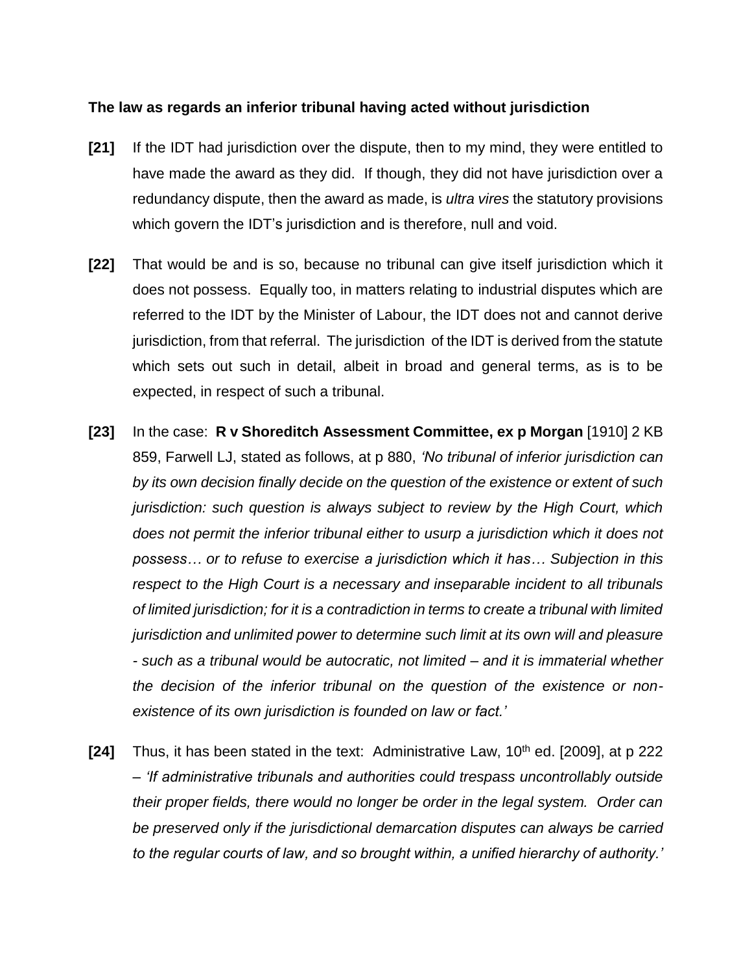### **The law as regards an inferior tribunal having acted without jurisdiction**

- **[21]** If the IDT had jurisdiction over the dispute, then to my mind, they were entitled to have made the award as they did. If though, they did not have jurisdiction over a redundancy dispute, then the award as made, is *ultra vires* the statutory provisions which govern the IDT's jurisdiction and is therefore, null and void.
- **[22]** That would be and is so, because no tribunal can give itself jurisdiction which it does not possess. Equally too, in matters relating to industrial disputes which are referred to the IDT by the Minister of Labour, the IDT does not and cannot derive jurisdiction, from that referral. The jurisdiction of the IDT is derived from the statute which sets out such in detail, albeit in broad and general terms, as is to be expected, in respect of such a tribunal.
- **[23]** In the case: **R v Shoreditch Assessment Committee, ex p Morgan** [1910] 2 KB 859, Farwell LJ, stated as follows, at p 880, *'No tribunal of inferior jurisdiction can by its own decision finally decide on the question of the existence or extent of such jurisdiction: such question is always subject to review by the High Court, which does not permit the inferior tribunal either to usurp a jurisdiction which it does not possess… or to refuse to exercise a jurisdiction which it has… Subjection in this respect to the High Court is a necessary and inseparable incident to all tribunals of limited jurisdiction; for it is a contradiction in terms to create a tribunal with limited jurisdiction and unlimited power to determine such limit at its own will and pleasure - such as a tribunal would be autocratic, not limited – and it is immaterial whether the decision of the inferior tribunal on the question of the existence or nonexistence of its own jurisdiction is founded on law or fact.'*
- **[24]** Thus, it has been stated in the text: Administrative Law, 10<sup>th</sup> ed. [2009], at p 222 – *'If administrative tribunals and authorities could trespass uncontrollably outside their proper fields, there would no longer be order in the legal system. Order can be preserved only if the jurisdictional demarcation disputes can always be carried to the regular courts of law, and so brought within, a unified hierarchy of authority.'*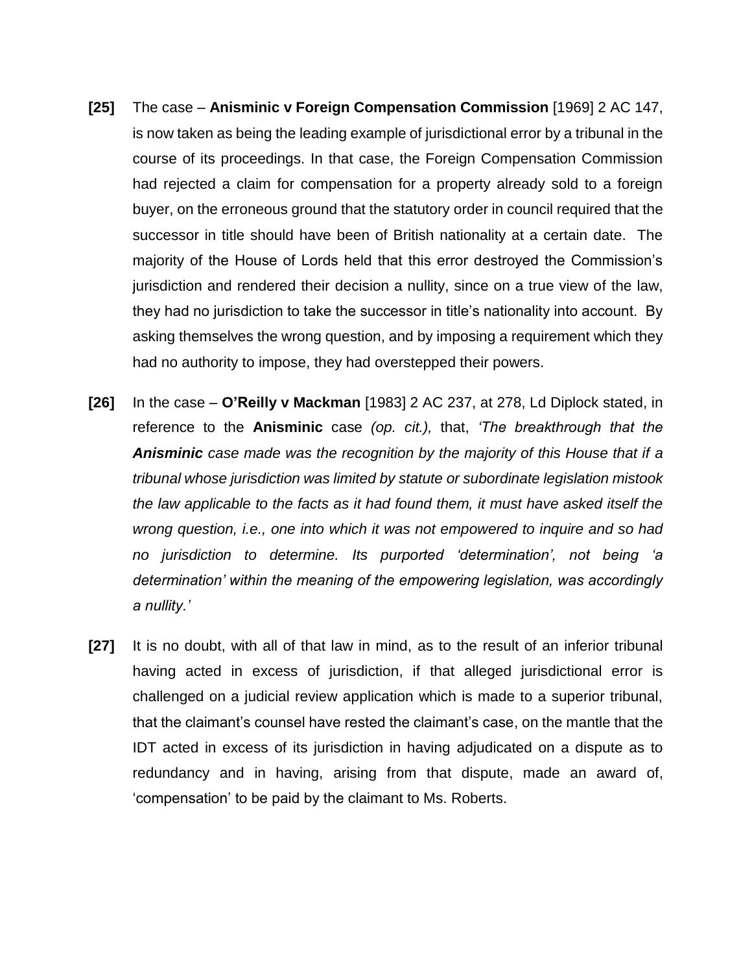- **[25]** The case **Anisminic v Foreign Compensation Commission** [1969] 2 AC 147, is now taken as being the leading example of jurisdictional error by a tribunal in the course of its proceedings. In that case, the Foreign Compensation Commission had rejected a claim for compensation for a property already sold to a foreign buyer, on the erroneous ground that the statutory order in council required that the successor in title should have been of British nationality at a certain date. The majority of the House of Lords held that this error destroyed the Commission's jurisdiction and rendered their decision a nullity, since on a true view of the law, they had no jurisdiction to take the successor in title's nationality into account. By asking themselves the wrong question, and by imposing a requirement which they had no authority to impose, they had overstepped their powers.
- **[26]** In the case **O'Reilly v Mackman** [1983] 2 AC 237, at 278, Ld Diplock stated, in reference to the **Anisminic** case *(op. cit.),* that, *'The breakthrough that the Anisminic case made was the recognition by the majority of this House that if a tribunal whose jurisdiction was limited by statute or subordinate legislation mistook the law applicable to the facts as it had found them, it must have asked itself the wrong question, i.e., one into which it was not empowered to inquire and so had no jurisdiction to determine. Its purported 'determination', not being 'a determination' within the meaning of the empowering legislation, was accordingly a nullity.'*
- **[27]** It is no doubt, with all of that law in mind, as to the result of an inferior tribunal having acted in excess of jurisdiction, if that alleged jurisdictional error is challenged on a judicial review application which is made to a superior tribunal, that the claimant's counsel have rested the claimant's case, on the mantle that the IDT acted in excess of its jurisdiction in having adjudicated on a dispute as to redundancy and in having, arising from that dispute, made an award of, 'compensation' to be paid by the claimant to Ms. Roberts.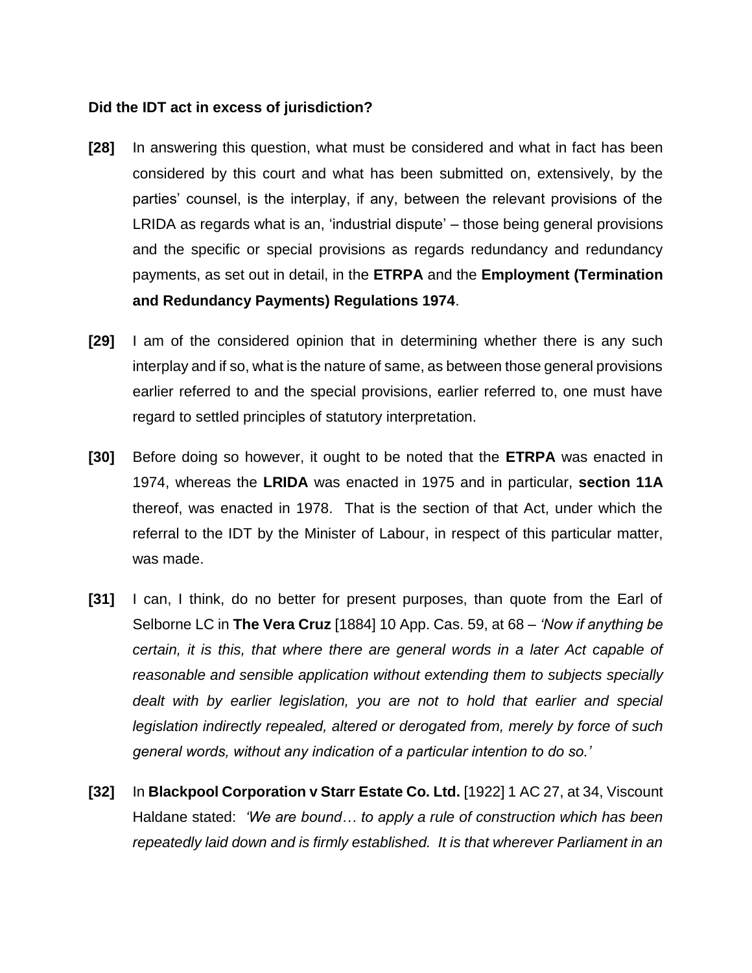### **Did the IDT act in excess of jurisdiction?**

- **[28]** In answering this question, what must be considered and what in fact has been considered by this court and what has been submitted on, extensively, by the parties' counsel, is the interplay, if any, between the relevant provisions of the LRIDA as regards what is an, 'industrial dispute' – those being general provisions and the specific or special provisions as regards redundancy and redundancy payments, as set out in detail, in the **ETRPA** and the **Employment (Termination and Redundancy Payments) Regulations 1974**.
- **[29]** I am of the considered opinion that in determining whether there is any such interplay and if so, what is the nature of same, as between those general provisions earlier referred to and the special provisions, earlier referred to, one must have regard to settled principles of statutory interpretation.
- **[30]** Before doing so however, it ought to be noted that the **ETRPA** was enacted in 1974, whereas the **LRIDA** was enacted in 1975 and in particular, **section 11A** thereof, was enacted in 1978. That is the section of that Act, under which the referral to the IDT by the Minister of Labour, in respect of this particular matter, was made.
- **[31]** I can, I think, do no better for present purposes, than quote from the Earl of Selborne LC in **The Vera Cruz** [1884] 10 App. Cas. 59, at 68 – *'Now if anything be certain, it is this, that where there are general words in a later Act capable of reasonable and sensible application without extending them to subjects specially dealt with by earlier legislation, you are not to hold that earlier and special legislation indirectly repealed, altered or derogated from, merely by force of such general words, without any indication of a particular intention to do so.'*
- **[32]** In **Blackpool Corporation v Starr Estate Co. Ltd.** [1922] 1 AC 27, at 34, Viscount Haldane stated: *'We are bound… to apply a rule of construction which has been repeatedly laid down and is firmly established. It is that wherever Parliament in an*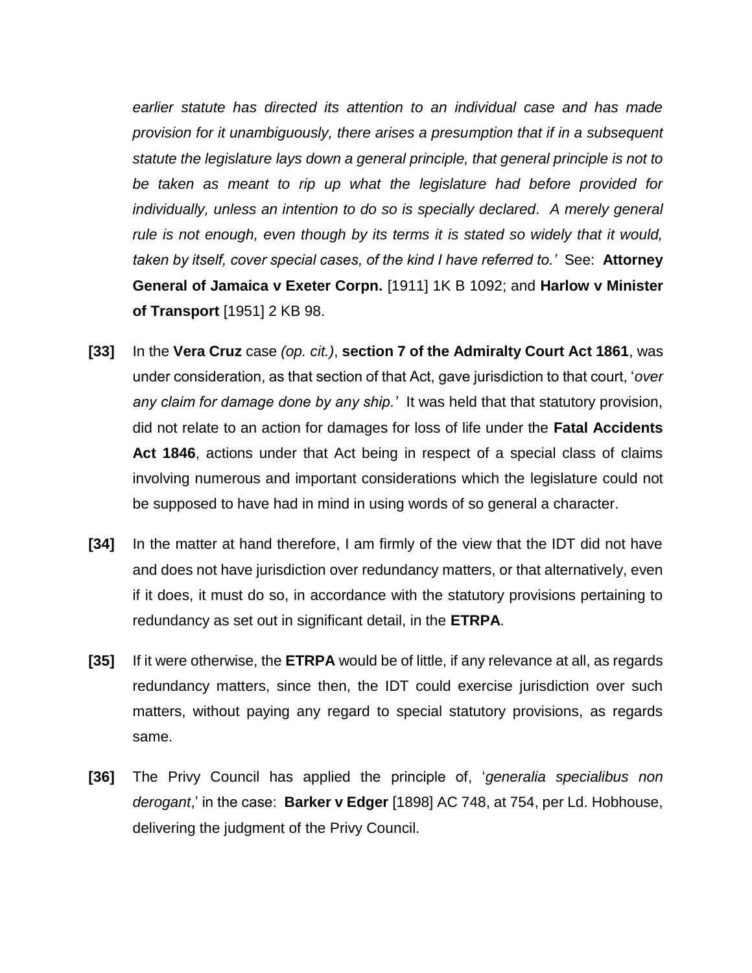*earlier statute has directed its attention to an individual case and has made provision for it unambiguously, there arises a presumption that if in a subsequent statute the legislature lays down a general principle, that general principle is not to be taken as meant to rip up what the legislature had before provided for individually, unless an intention to do so is specially declared. A merely general rule is not enough, even though by its terms it is stated so widely that it would, taken by itself, cover special cases, of the kind I have referred to.'* See: **Attorney General of Jamaica v Exeter Corpn.** [1911] 1K B 1092; and **Harlow v Minister of Transport** [1951] 2 KB 98.

- **[33]** In the **Vera Cruz** case *(op. cit.)*, **section 7 of the Admiralty Court Act 1861**, was under consideration, as that section of that Act, gave jurisdiction to that court, '*over any claim for damage done by any ship.'* It was held that that statutory provision, did not relate to an action for damages for loss of life under the **Fatal Accidents Act 1846**, actions under that Act being in respect of a special class of claims involving numerous and important considerations which the legislature could not be supposed to have had in mind in using words of so general a character.
- **[34]** In the matter at hand therefore, I am firmly of the view that the IDT did not have and does not have jurisdiction over redundancy matters, or that alternatively, even if it does, it must do so, in accordance with the statutory provisions pertaining to redundancy as set out in significant detail, in the **ETRPA**.
- **[35]** If it were otherwise, the **ETRPA** would be of little, if any relevance at all, as regards redundancy matters, since then, the IDT could exercise jurisdiction over such matters, without paying any regard to special statutory provisions, as regards same.
- **[36]** The Privy Council has applied the principle of, '*generalia specialibus non derogant*,' in the case: **Barker v Edger** [1898] AC 748, at 754, per Ld. Hobhouse, delivering the judgment of the Privy Council.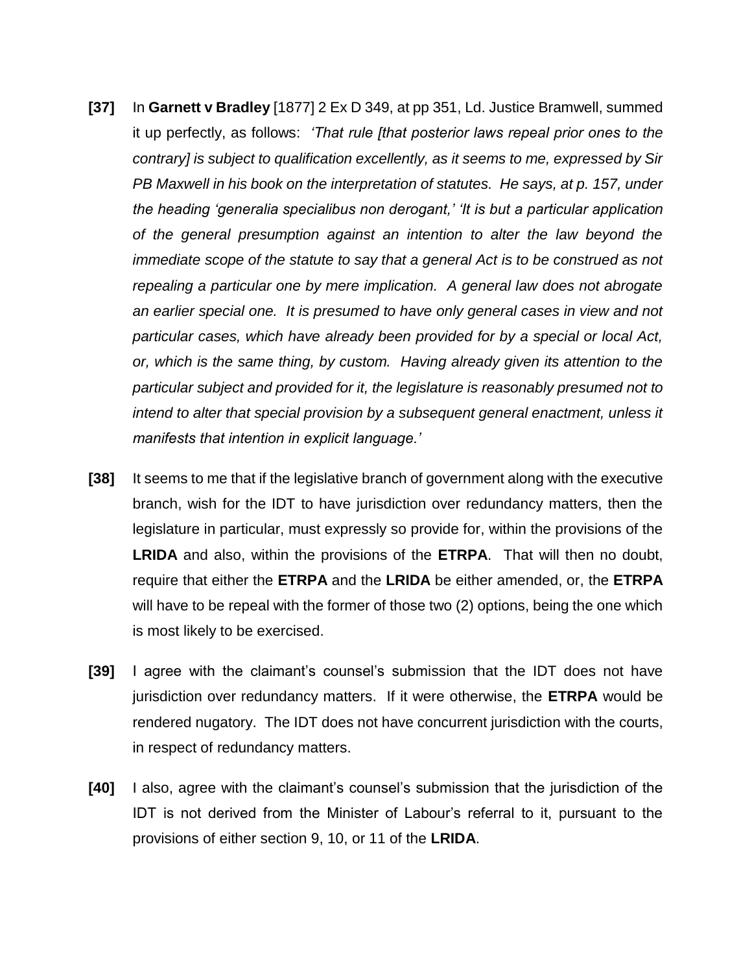- **[37]** In **Garnett v Bradley** [1877] 2 Ex D 349, at pp 351, Ld. Justice Bramwell, summed it up perfectly, as follows: *'That rule [that posterior laws repeal prior ones to the contrary] is subject to qualification excellently, as it seems to me, expressed by Sir PB Maxwell in his book on the interpretation of statutes. He says, at p. 157, under the heading 'generalia specialibus non derogant,' 'It is but a particular application of the general presumption against an intention to alter the law beyond the immediate scope of the statute to say that a general Act is to be construed as not repealing a particular one by mere implication. A general law does not abrogate an earlier special one. It is presumed to have only general cases in view and not particular cases, which have already been provided for by a special or local Act, or, which is the same thing, by custom. Having already given its attention to the particular subject and provided for it, the legislature is reasonably presumed not to intend to alter that special provision by a subsequent general enactment, unless it manifests that intention in explicit language.'*
- **[38]** It seems to me that if the legislative branch of government along with the executive branch, wish for the IDT to have jurisdiction over redundancy matters, then the legislature in particular, must expressly so provide for, within the provisions of the **LRIDA** and also, within the provisions of the **ETRPA**. That will then no doubt, require that either the **ETRPA** and the **LRIDA** be either amended, or, the **ETRPA**  will have to be repeal with the former of those two (2) options, being the one which is most likely to be exercised.
- **[39]** I agree with the claimant's counsel's submission that the IDT does not have jurisdiction over redundancy matters. If it were otherwise, the **ETRPA** would be rendered nugatory. The IDT does not have concurrent jurisdiction with the courts, in respect of redundancy matters.
- **[40]** I also, agree with the claimant's counsel's submission that the jurisdiction of the IDT is not derived from the Minister of Labour's referral to it, pursuant to the provisions of either section 9, 10, or 11 of the **LRIDA**.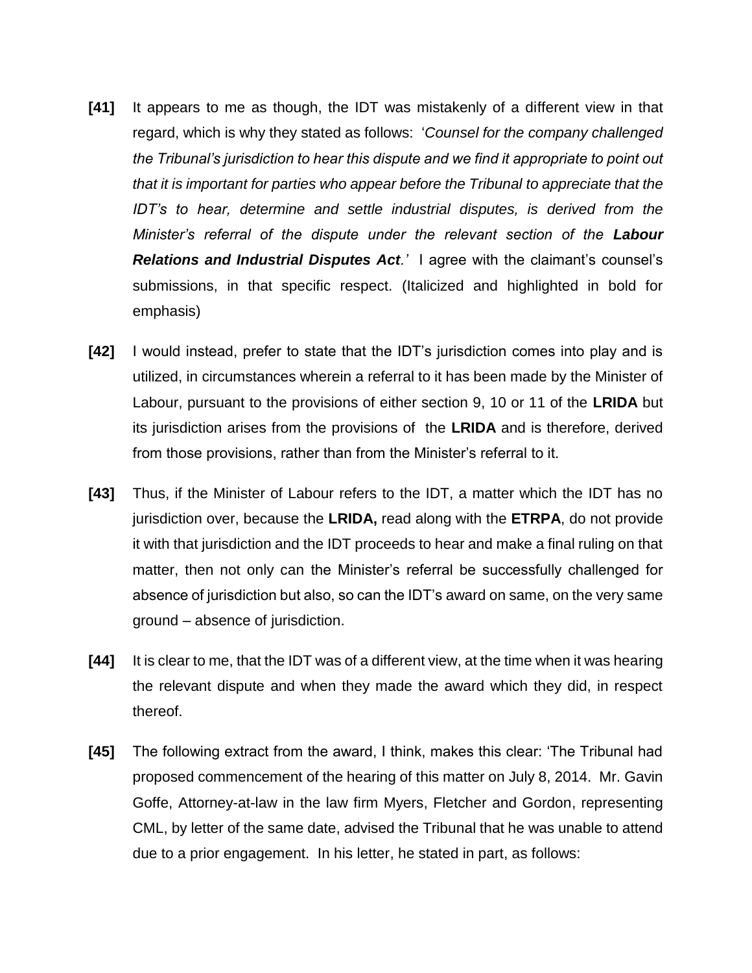- **[41]** It appears to me as though, the IDT was mistakenly of a different view in that regard, which is why they stated as follows: '*Counsel for the company challenged the Tribunal's jurisdiction to hear this dispute and we find it appropriate to point out that it is important for parties who appear before the Tribunal to appreciate that the IDT's to hear, determine and settle industrial disputes, is derived from the Minister's referral of the dispute under the relevant section of the Labour Relations and Industrial Disputes Act.'* I agree with the claimant's counsel's submissions, in that specific respect. (Italicized and highlighted in bold for emphasis)
- **[42]** I would instead, prefer to state that the IDT's jurisdiction comes into play and is utilized, in circumstances wherein a referral to it has been made by the Minister of Labour, pursuant to the provisions of either section 9, 10 or 11 of the **LRIDA** but its jurisdiction arises from the provisions of the **LRIDA** and is therefore, derived from those provisions, rather than from the Minister's referral to it.
- **[43]** Thus, if the Minister of Labour refers to the IDT, a matter which the IDT has no jurisdiction over, because the **LRIDA,** read along with the **ETRPA**, do not provide it with that jurisdiction and the IDT proceeds to hear and make a final ruling on that matter, then not only can the Minister's referral be successfully challenged for absence of jurisdiction but also, so can the IDT's award on same, on the very same ground – absence of jurisdiction.
- **[44]** It is clear to me, that the IDT was of a different view, at the time when it was hearing the relevant dispute and when they made the award which they did, in respect thereof.
- **[45]** The following extract from the award, I think, makes this clear: 'The Tribunal had proposed commencement of the hearing of this matter on July 8, 2014. Mr. Gavin Goffe, Attorney-at-law in the law firm Myers, Fletcher and Gordon, representing CML, by letter of the same date, advised the Tribunal that he was unable to attend due to a prior engagement. In his letter, he stated in part, as follows: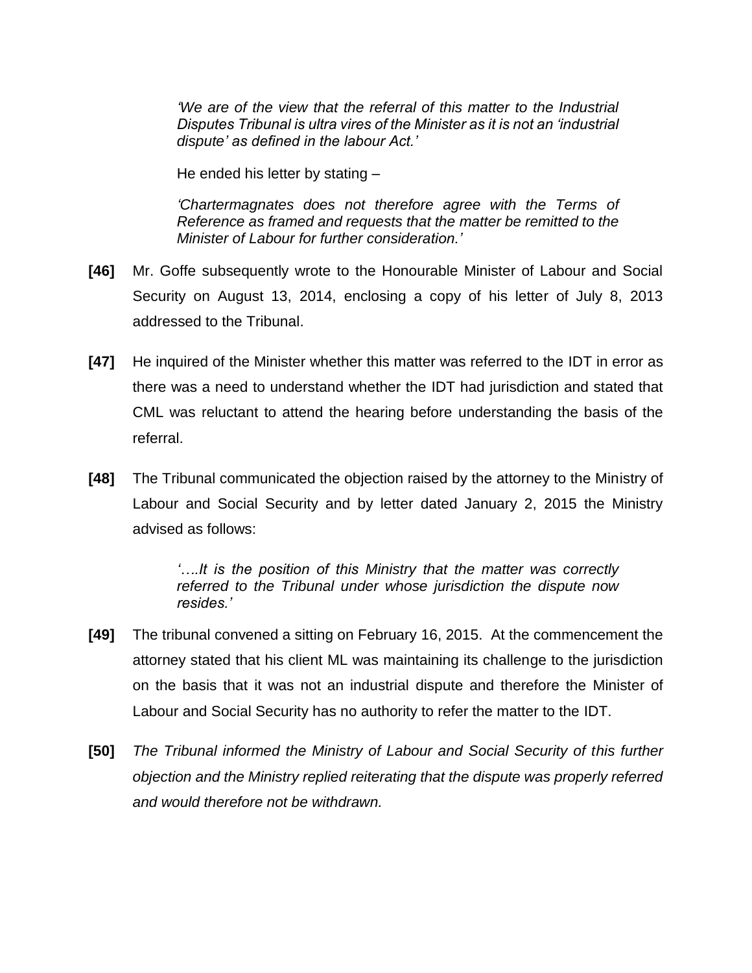*'We are of the view that the referral of this matter to the Industrial Disputes Tribunal is ultra vires of the Minister as it is not an 'industrial dispute' as defined in the labour Act.'*

He ended his letter by stating –

*'Chartermagnates does not therefore agree with the Terms of Reference as framed and requests that the matter be remitted to the Minister of Labour for further consideration.'*

- **[46]** Mr. Goffe subsequently wrote to the Honourable Minister of Labour and Social Security on August 13, 2014, enclosing a copy of his letter of July 8, 2013 addressed to the Tribunal.
- **[47]** He inquired of the Minister whether this matter was referred to the IDT in error as there was a need to understand whether the IDT had jurisdiction and stated that CML was reluctant to attend the hearing before understanding the basis of the referral.
- **[48]** The Tribunal communicated the objection raised by the attorney to the Ministry of Labour and Social Security and by letter dated January 2, 2015 the Ministry advised as follows:

*'….It is the position of this Ministry that the matter was correctly referred to the Tribunal under whose jurisdiction the dispute now resides.'*

- **[49]** The tribunal convened a sitting on February 16, 2015. At the commencement the attorney stated that his client ML was maintaining its challenge to the jurisdiction on the basis that it was not an industrial dispute and therefore the Minister of Labour and Social Security has no authority to refer the matter to the IDT.
- **[50]** *The Tribunal informed the Ministry of Labour and Social Security of this further objection and the Ministry replied reiterating that the dispute was properly referred and would therefore not be withdrawn.*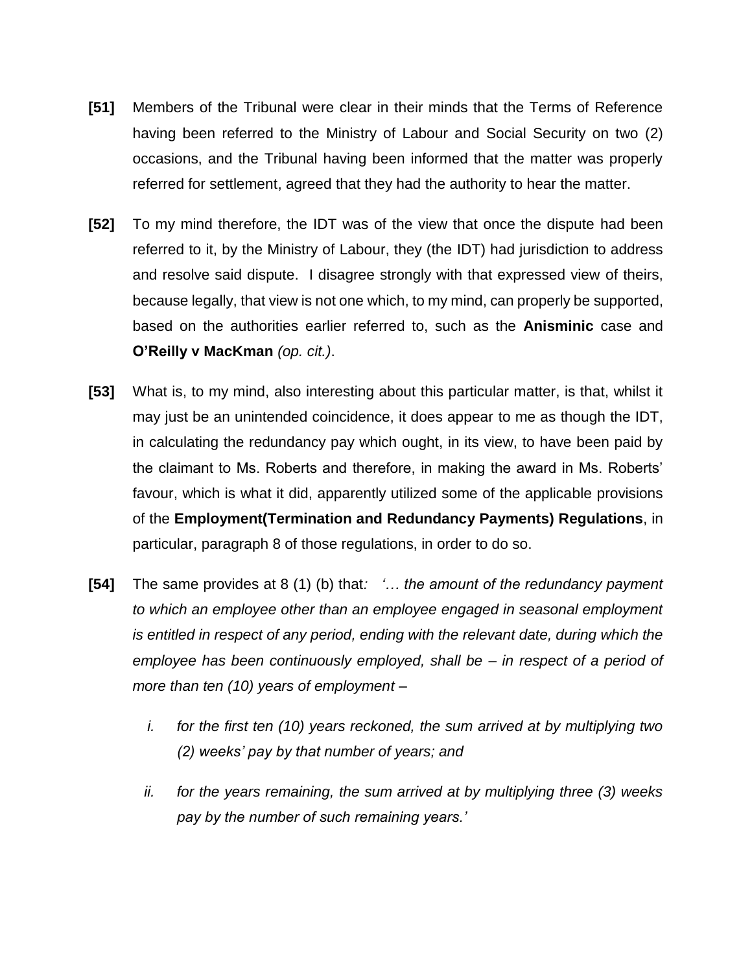- **[51]** Members of the Tribunal were clear in their minds that the Terms of Reference having been referred to the Ministry of Labour and Social Security on two (2) occasions, and the Tribunal having been informed that the matter was properly referred for settlement, agreed that they had the authority to hear the matter.
- **[52]** To my mind therefore, the IDT was of the view that once the dispute had been referred to it, by the Ministry of Labour, they (the IDT) had jurisdiction to address and resolve said dispute. I disagree strongly with that expressed view of theirs, because legally, that view is not one which, to my mind, can properly be supported, based on the authorities earlier referred to, such as the **Anisminic** case and **O'Reilly v MacKman** *(op. cit.)*.
- **[53]** What is, to my mind, also interesting about this particular matter, is that, whilst it may just be an unintended coincidence, it does appear to me as though the IDT, in calculating the redundancy pay which ought, in its view, to have been paid by the claimant to Ms. Roberts and therefore, in making the award in Ms. Roberts' favour, which is what it did, apparently utilized some of the applicable provisions of the **Employment(Termination and Redundancy Payments) Regulations**, in particular, paragraph 8 of those regulations, in order to do so.
- **[54]** The same provides at 8 (1) (b) that*: '… the amount of the redundancy payment to which an employee other than an employee engaged in seasonal employment is entitled in respect of any period, ending with the relevant date, during which the employee has been continuously employed, shall be – in respect of a period of more than ten (10) years of employment –*
	- *i. for the first ten (10) years reckoned, the sum arrived at by multiplying two (2) weeks' pay by that number of years; and*
	- *ii. for the years remaining, the sum arrived at by multiplying three (3) weeks pay by the number of such remaining years.'*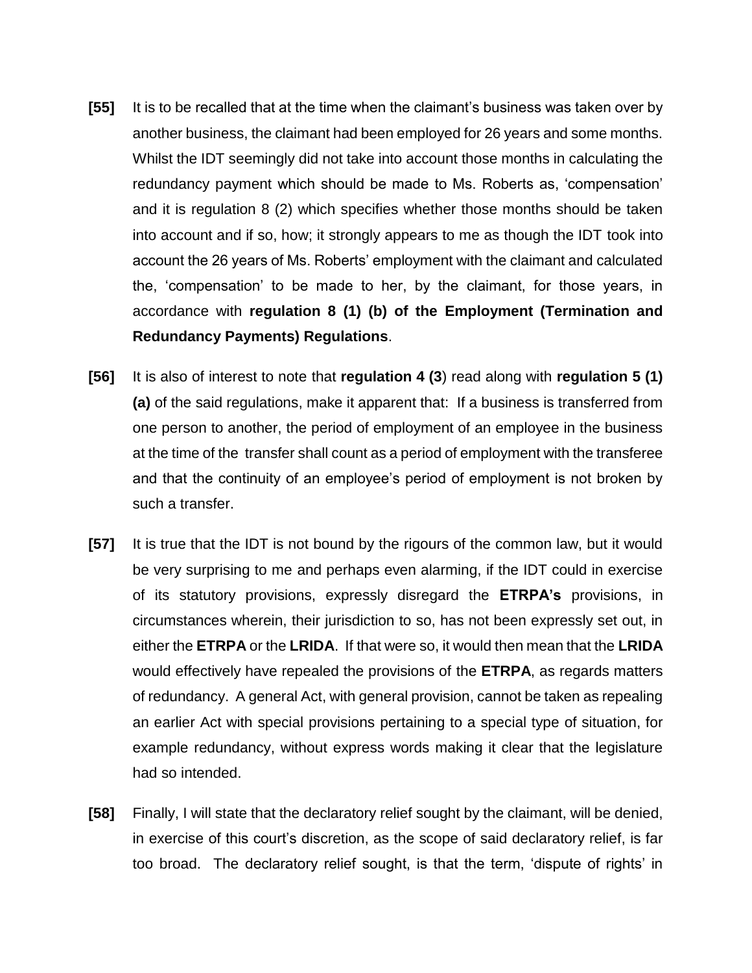- **[55]** It is to be recalled that at the time when the claimant's business was taken over by another business, the claimant had been employed for 26 years and some months. Whilst the IDT seemingly did not take into account those months in calculating the redundancy payment which should be made to Ms. Roberts as, 'compensation' and it is regulation 8 (2) which specifies whether those months should be taken into account and if so, how; it strongly appears to me as though the IDT took into account the 26 years of Ms. Roberts' employment with the claimant and calculated the, 'compensation' to be made to her, by the claimant, for those years, in accordance with **regulation 8 (1) (b) of the Employment (Termination and Redundancy Payments) Regulations**.
- **[56]** It is also of interest to note that **regulation 4 (3**) read along with **regulation 5 (1) (a)** of the said regulations, make it apparent that: If a business is transferred from one person to another, the period of employment of an employee in the business at the time of the transfer shall count as a period of employment with the transferee and that the continuity of an employee's period of employment is not broken by such a transfer.
- **[57]** It is true that the IDT is not bound by the rigours of the common law, but it would be very surprising to me and perhaps even alarming, if the IDT could in exercise of its statutory provisions, expressly disregard the **ETRPA's** provisions, in circumstances wherein, their jurisdiction to so, has not been expressly set out, in either the **ETRPA** or the **LRIDA**. If that were so, it would then mean that the **LRIDA**  would effectively have repealed the provisions of the **ETRPA**, as regards matters of redundancy. A general Act, with general provision, cannot be taken as repealing an earlier Act with special provisions pertaining to a special type of situation, for example redundancy, without express words making it clear that the legislature had so intended.
- **[58]** Finally, I will state that the declaratory relief sought by the claimant, will be denied, in exercise of this court's discretion, as the scope of said declaratory relief, is far too broad. The declaratory relief sought, is that the term, 'dispute of rights' in